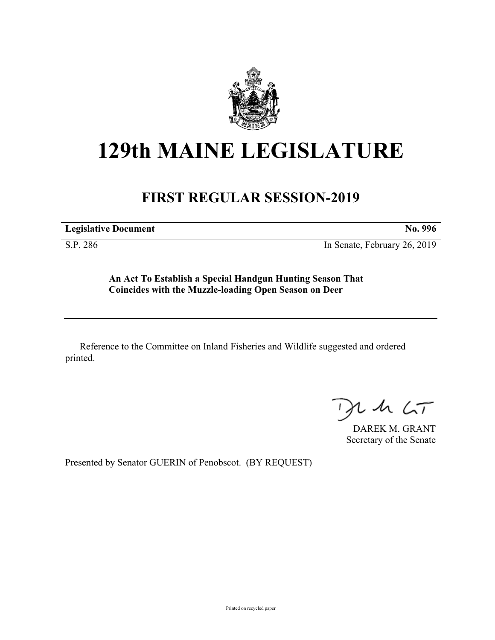

## **129th MAINE LEGISLATURE**

## **FIRST REGULAR SESSION-2019**

**Legislative Document No. 996**

S.P. 286 In Senate, February 26, 2019

**An Act To Establish a Special Handgun Hunting Season That Coincides with the Muzzle-loading Open Season on Deer**

Reference to the Committee on Inland Fisheries and Wildlife suggested and ordered printed.

 $125$ 

DAREK M. GRANT Secretary of the Senate

Presented by Senator GUERIN of Penobscot. (BY REQUEST)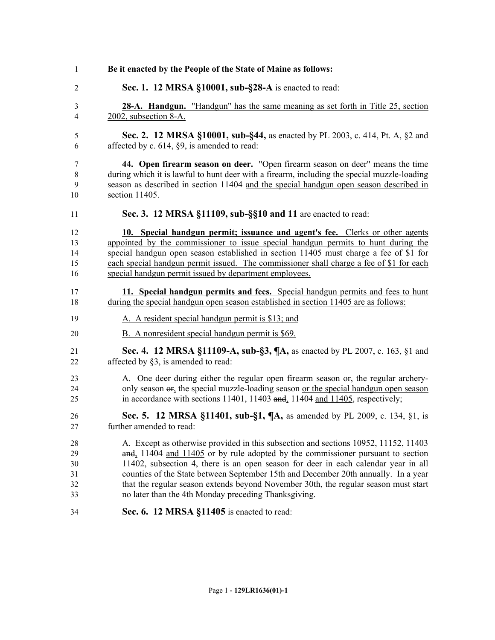| Be it enacted by the People of the State of Maine as follows:                                                                                                                                                                                                                                                                                                                                                                                                                                     |
|---------------------------------------------------------------------------------------------------------------------------------------------------------------------------------------------------------------------------------------------------------------------------------------------------------------------------------------------------------------------------------------------------------------------------------------------------------------------------------------------------|
| Sec. 1. 12 MRSA §10001, sub-§28-A is enacted to read:                                                                                                                                                                                                                                                                                                                                                                                                                                             |
| <b>28-A. Handgun.</b> "Handgun" has the same meaning as set forth in Title 25, section<br>2002, subsection 8-A.                                                                                                                                                                                                                                                                                                                                                                                   |
| Sec. 2. 12 MRSA §10001, sub-§44, as enacted by PL 2003, c. 414, Pt. A, §2 and<br>affected by c. $614$ , $\S9$ , is amended to read:                                                                                                                                                                                                                                                                                                                                                               |
| 44. Open firearm season on deer. "Open firearm season on deer" means the time<br>during which it is lawful to hunt deer with a firearm, including the special muzzle-loading<br>season as described in section 11404 and the special handgun open season described in<br>section 11405.                                                                                                                                                                                                           |
| Sec. 3. 12 MRSA §11109, sub-§§10 and 11 are enacted to read:                                                                                                                                                                                                                                                                                                                                                                                                                                      |
| 10. Special handgun permit; issuance and agent's fee. Clerks or other agents<br>appointed by the commissioner to issue special handgun permits to hunt during the<br>special handgun open season established in section 11405 must charge a fee of \$1 for<br>each special handgun permit issued. The commissioner shall charge a fee of \$1 for each<br>special handgun permit issued by department employees.                                                                                   |
| 11. Special handgun permits and fees. Special handgun permits and fees to hunt<br>during the special handgun open season established in section 11405 are as follows:                                                                                                                                                                                                                                                                                                                             |
| A. A resident special handgun permit is \$13; and                                                                                                                                                                                                                                                                                                                                                                                                                                                 |
| B. A nonresident special handgun permit is \$69.                                                                                                                                                                                                                                                                                                                                                                                                                                                  |
| Sec. 4. 12 MRSA §11109-A, sub-§3, ¶A, as enacted by PL 2007, c. 163, §1 and<br>affected by §3, is amended to read:                                                                                                                                                                                                                                                                                                                                                                                |
| A. One deer during either the regular open firearm season or, the regular archery-<br>only season $\sigma$ <sub>1</sub> , the special muzzle-loading season or the special handgun open season<br>in accordance with sections 11401, 11403 and, 11404 and 11405, respectively;                                                                                                                                                                                                                    |
| Sec. 5. 12 MRSA §11401, sub-§1, ¶A, as amended by PL 2009, c. 134, §1, is<br>further amended to read:                                                                                                                                                                                                                                                                                                                                                                                             |
| A. Except as otherwise provided in this subsection and sections 10952, 11152, 11403<br>and, 11404 and 11405 or by rule adopted by the commissioner pursuant to section<br>11402, subsection 4, there is an open season for deer in each calendar year in all<br>counties of the State between September 15th and December 20th annually. In a year<br>that the regular season extends beyond November 30th, the regular season must start<br>no later than the 4th Monday preceding Thanksgiving. |
| Sec. 6. 12 MRSA §11405 is enacted to read:                                                                                                                                                                                                                                                                                                                                                                                                                                                        |